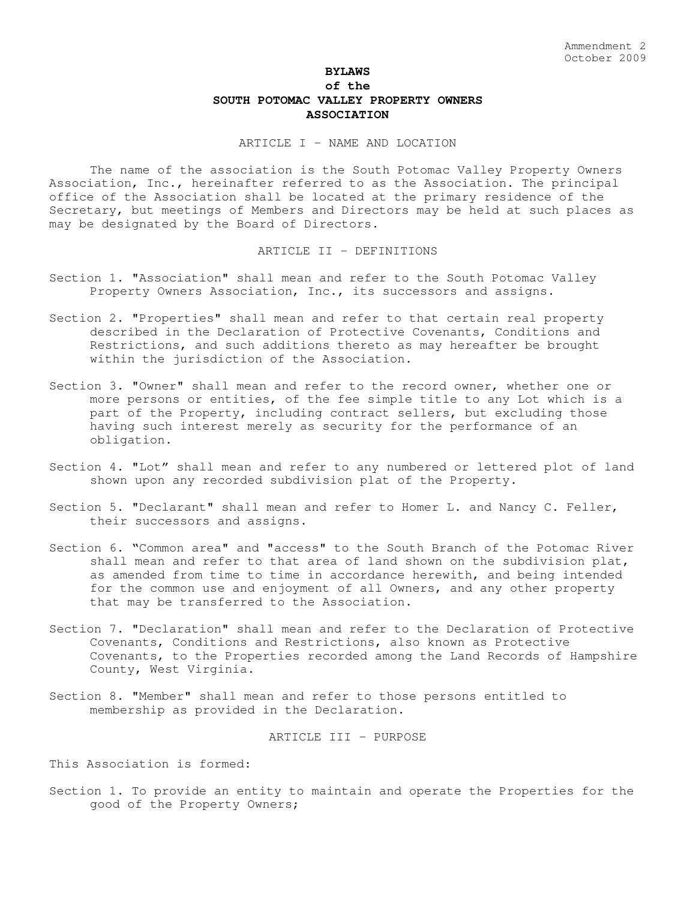# **BYLAWS of the SOUTH POTOMAC VALLEY PROPERTY OWNERS ASSOCIATION**

ARTICLE I - NAME AND LOCATION

The name of the association is the South Potomac Valley Property Owners Association, Inc., hereinafter referred to as the Association. The principal office of the Association shall be located at the primary residence of the Secretary, but meetings of Members and Directors may be held at such places as may be designated by the Board of Directors.

## ARTICLE II - DEFINITIONS

- Section 1. "Association" shall mean and refer to the South Potomac Valley Property Owners Association, Inc., its successors and assigns.
- Section 2. "Properties" shall mean and refer to that certain real property described in the Declaration of Protective Covenants, Conditions and Restrictions, and such additions thereto as may hereafter be brought within the jurisdiction of the Association.
- Section 3. "Owner" shall mean and refer to the record owner, whether one or more persons or entities, of the fee simple title to any Lot which is a part of the Property, including contract sellers, but excluding those having such interest merely as security for the performance of an obligation.
- Section 4. "Lot" shall mean and refer to any numbered or lettered plot of land shown upon any recorded subdivision plat of the Property.
- Section 5. "Declarant" shall mean and refer to Homer L. and Nancy C. Feller, their successors and assigns.
- Section 6. "Common area" and "access" to the South Branch of the Potomac River shall mean and refer to that area of land shown on the subdivision plat, as amended from time to time in accordance herewith, and being intended for the common use and enjoyment of all Owners, and any other property that may be transferred to the Association.
- Section 7. "Declaration" shall mean and refer to the Declaration of Protective Covenants, Conditions and Restrictions, also known as Protective Covenants, to the Properties recorded among the Land Records of Hampshire County, West Virginia.
- Section 8. "Member" shall mean and refer to those persons entitled to membership as provided in the Declaration.

ARTICLE III - PURPOSE

This Association is formed:

Section 1. To provide an entity to maintain and operate the Properties for the good of the Property Owners;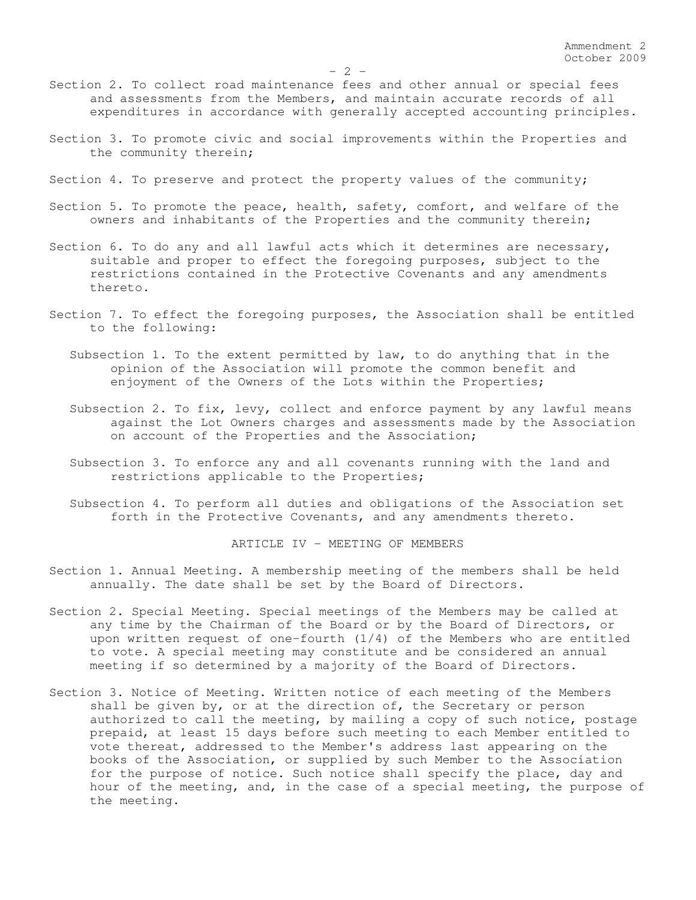- Section 2. To collect road maintenance fees and other annual or special fees and assessments from the Members, and maintain accurate records of all expenditures in accordance with generally accepted accounting principles.
- Section 3. To promote civic and social improvements within the Properties and the community therein;
- Section 4. To preserve and protect the property values of the community;
- Section 5. To promote the peace, health, safety, comfort, and welfare of the owners and inhabitants of the Properties and the community therein;
- Section 6. To do any and all lawful acts which it determines are necessary, suitable and proper to effect the foregoing purposes, subject to the restrictions contained in the Protective Covenants and any amendments thereto.
- Section 7. To effect the foregoing purposes, the Association shall be entitled to the following:
	- Subsection 1. To the extent permitted by law, to do anything that in the opinion of the Association will promote the common benefit and enjoyment of the Owners of the Lots within the Properties;
	- Subsection 2. To fix, levy, collect and enforce payment by any lawful means against the Lot Owners charges and assessments made by the Association on account of the Properties and the Association;
	- Subsection 3. To enforce any and all covenants running with the land and restrictions applicable to the Properties;
	- Subsection 4. To perform all duties and obligations of the Association set forth in the Protective Covenants, and any amendments thereto.

ARTICLE IV - MEETING OF MEMBERS

- Section 1. Annual Meeting. A membership meeting of the members shall be held annually. The date shall be set by the Board of Directors.
- Section 2. Special Meeting. Special meetings of the Members may be called at any time by the Chairman of the Board or by the Board of Directors, or upon written request of one-fourth (1/4) of the Members who are entitled to vote. A special meeting may constitute and be considered an annual meeting if so determined by a majority of the Board of Directors.
- Section 3. Notice of Meeting. Written notice of each meeting of the Members shall be given by, or at the direction of, the Secretary or person authorized to call the meeting, by mailing a copy of such notice, postage prepaid, at least 15 days before such meeting to each Member entitled to vote thereat, addressed to the Member's address last appearing on the books of the Association, or supplied by such Member to the Association for the purpose of notice. Such notice shall specify the place, day and hour of the meeting, and, in the case of a special meeting, the purpose of the meeting.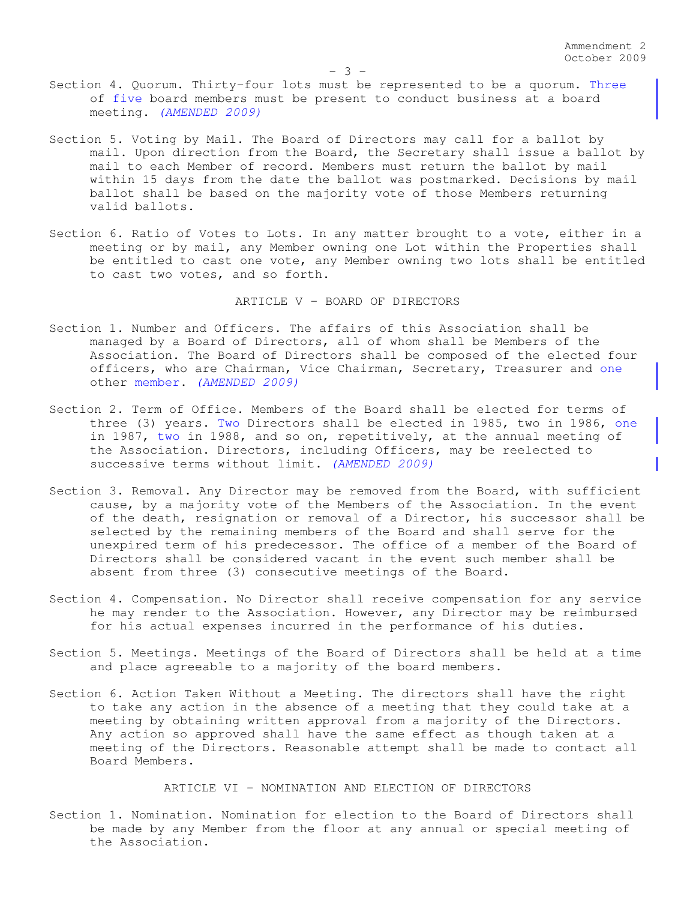- Section 4. Quorum. Thirty-four lots must be represented to be a quorum. Three of five board members must be present to conduct business at a board meeting. *(AMENDED 2009)*
- Section 5. Voting by Mail. The Board of Directors may call for a ballot by mail. Upon direction from the Board, the Secretary shall issue a ballot by mail to each Member of record. Members must return the ballot by mail within 15 days from the date the ballot was postmarked. Decisions by mail ballot shall be based on the majority vote of those Members returning valid ballots.
- Section 6. Ratio of Votes to Lots. In any matter brought to a vote, either in a meeting or by mail, any Member owning one Lot within the Properties shall be entitled to cast one vote, any Member owning two lots shall be entitled to cast two votes, and so forth.

ARTICLE V - BOARD OF DIRECTORS

- Section 1. Number and Officers. The affairs of this Association shall be managed by a Board of Directors, all of whom shall be Members of the Association. The Board of Directors shall be composed of the elected four officers, who are Chairman, Vice Chairman, Secretary, Treasurer and one other member. *(AMENDED 2009)*
- Section 2. Term of Office. Members of the Board shall be elected for terms of three (3) years. Two Directors shall be elected in 1985, two in 1986, one in 1987, two in 1988, and so on, repetitively, at the annual meeting of the Association. Directors, including Officers, may be reelected to successive terms without limit. *(AMENDED 2009)*
- Section 3. Removal. Any Director may be removed from the Board, with sufficient cause, by a majority vote of the Members of the Association. In the event of the death, resignation or removal of a Director, his successor shall be selected by the remaining members of the Board and shall serve for the unexpired term of his predecessor. The office of a member of the Board of Directors shall be considered vacant in the event such member shall be absent from three (3) consecutive meetings of the Board.
- Section 4. Compensation. No Director shall receive compensation for any service he may render to the Association. However, any Director may be reimbursed for his actual expenses incurred in the performance of his duties.
- Section 5. Meetings. Meetings of the Board of Directors shall be held at a time and place agreeable to a majority of the board members.
- Section 6. Action Taken Without a Meeting. The directors shall have the right to take any action in the absence of a meeting that they could take at a meeting by obtaining written approval from a majority of the Directors. Any action so approved shall have the same effect as though taken at a meeting of the Directors. Reasonable attempt shall be made to contact all Board Members.

ARTICLE VI - NOMINATION AND ELECTION OF DIRECTORS

Section 1. Nomination. Nomination for election to the Board of Directors shall be made by any Member from the floor at any annual or special meeting of the Association.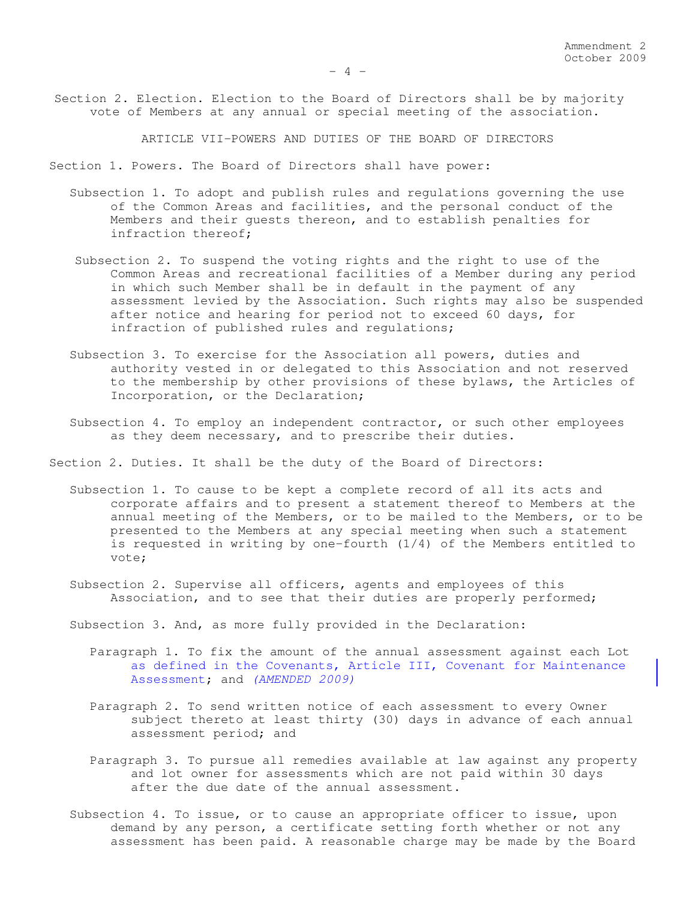Section 2. Election. Election to the Board of Directors shall be by majority vote of Members at any annual or special meeting of the association.

ARTICLE VII-POWERS AND DUTIES OF THE BOARD OF DIRECTORS

Section 1. Powers. The Board of Directors shall have power:

- Subsection 1. To adopt and publish rules and regulations governing the use of the Common Areas and facilities, and the personal conduct of the Members and their guests thereon, and to establish penalties for infraction thereof;
- Subsection 2. To suspend the voting rights and the right to use of the Common Areas and recreational facilities of a Member during any period in which such Member shall be in default in the payment of any assessment levied by the Association. Such rights may also be suspended after notice and hearing for period not to exceed 60 days, for infraction of published rules and regulations;
- Subsection 3. To exercise for the Association all powers, duties and authority vested in or delegated to this Association and not reserved to the membership by other provisions of these bylaws, the Articles of Incorporation, or the Declaration;
- Subsection 4. To employ an independent contractor, or such other employees as they deem necessary, and to prescribe their duties.
- Section 2. Duties. It shall be the duty of the Board of Directors:
	- Subsection 1. To cause to be kept a complete record of all its acts and corporate affairs and to present a statement thereof to Members at the annual meeting of the Members, or to be mailed to the Members, or to be presented to the Members at any special meeting when such a statement is requested in writing by one-fourth (1/4) of the Members entitled to vote;
	- Subsection 2. Supervise all officers, agents and employees of this Association, and to see that their duties are properly performed;
	- Subsection 3. And, as more fully provided in the Declaration:
		- Paragraph 1. To fix the amount of the annual assessment against each Lot as defined in the Covenants, Article III, Covenant for Maintenance Assessment; and *(AMENDED 2009)*
		- Paragraph 2. To send written notice of each assessment to every Owner subject thereto at least thirty (30) days in advance of each annual assessment period; and
		- Paragraph 3. To pursue all remedies available at law against any property and lot owner for assessments which are not paid within 30 days after the due date of the annual assessment.
	- Subsection 4. To issue, or to cause an appropriate officer to issue, upon demand by any person, a certificate setting forth whether or not any assessment has been paid. A reasonable charge may be made by the Board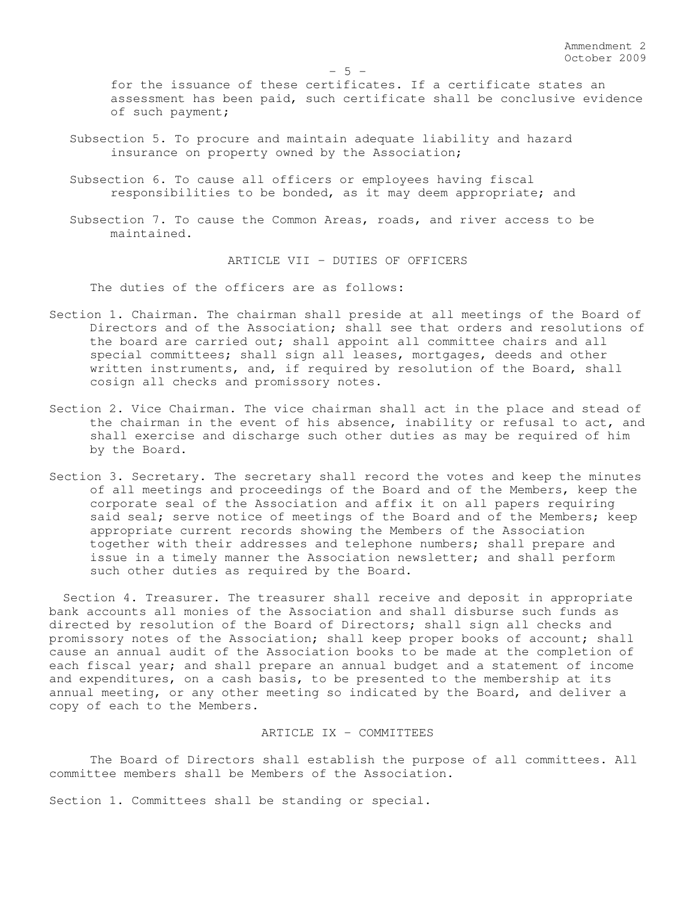for the issuance of these certificates. If a certificate states an assessment has been paid, such certificate shall be conclusive evidence of such payment;

- Subsection 5. To procure and maintain adequate liability and hazard insurance on property owned by the Association;
- Subsection 6. To cause all officers or employees having fiscal responsibilities to be bonded, as it may deem appropriate; and
- Subsection 7. To cause the Common Areas, roads, and river access to be maintained.

ARTICLE VII - DUTIES OF OFFICERS

The duties of the officers are as follows:

- Section 1. Chairman. The chairman shall preside at all meetings of the Board of Directors and of the Association; shall see that orders and resolutions of the board are carried out; shall appoint all committee chairs and all special committees; shall sign all leases, mortgages, deeds and other written instruments, and, if required by resolution of the Board, shall cosign all checks and promissory notes.
- Section 2. Vice Chairman. The vice chairman shall act in the place and stead of the chairman in the event of his absence, inability or refusal to act, and shall exercise and discharge such other duties as may be required of him by the Board.
- Section 3. Secretary. The secretary shall record the votes and keep the minutes of all meetings and proceedings of the Board and of the Members, keep the corporate seal of the Association and affix it on all papers requiring said seal; serve notice of meetings of the Board and of the Members; keep appropriate current records showing the Members of the Association together with their addresses and telephone numbers; shall prepare and issue in a timely manner the Association newsletter; and shall perform such other duties as required by the Board.

Section 4. Treasurer. The treasurer shall receive and deposit in appropriate bank accounts all monies of the Association and shall disburse such funds as directed by resolution of the Board of Directors; shall sign all checks and promissory notes of the Association; shall keep proper books of account; shall cause an annual audit of the Association books to be made at the completion of each fiscal year; and shall prepare an annual budget and a statement of income and expenditures, on a cash basis, to be presented to the membership at its annual meeting, or any other meeting so indicated by the Board, and deliver a copy of each to the Members.

## ARTICLE IX - COMMITTEES

The Board of Directors shall establish the purpose of all committees. All committee members shall be Members of the Association.

Section 1. Committees shall be standing or special.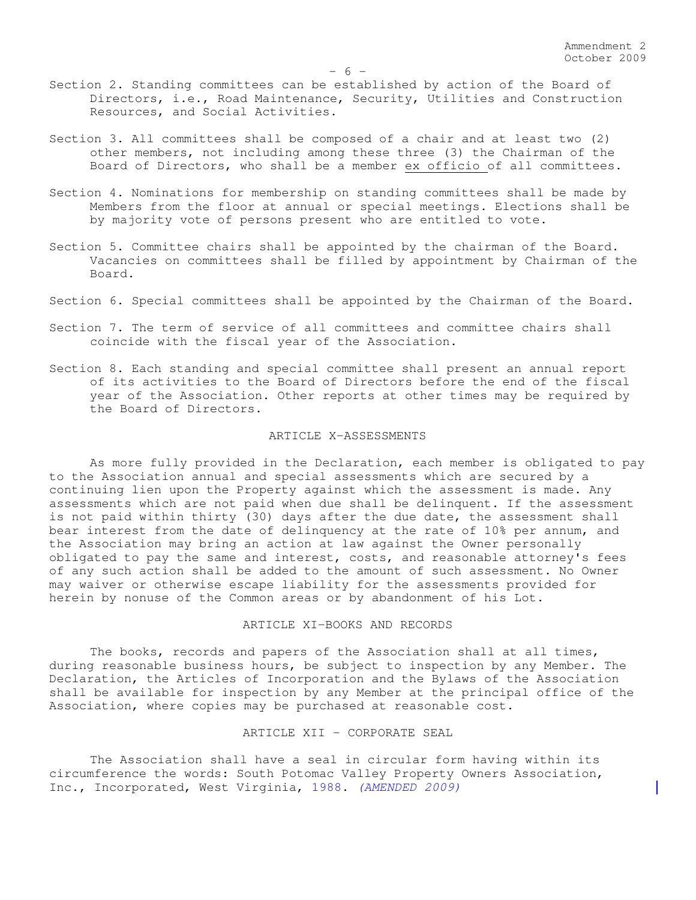- Section 3. All committees shall be composed of a chair and at least two (2) other members, not including among these three (3) the Chairman of the Board of Directors, who shall be a member ex officio of all committees.
- Section 4. Nominations for membership on standing committees shall be made by Members from the floor at annual or special meetings. Elections shall be by majority vote of persons present who are entitled to vote.
- Section 5. Committee chairs shall be appointed by the chairman of the Board. Vacancies on committees shall be filled by appointment by Chairman of the Board.
- Section 6. Special committees shall be appointed by the Chairman of the Board.
- Section 7. The term of service of all committees and committee chairs shall coincide with the fiscal year of the Association.
- Section 8. Each standing and special committee shall present an annual report of its activities to the Board of Directors before the end of the fiscal year of the Association. Other reports at other times may be required by the Board of Directors.

## ARTICLE X-ASSESSMENTS

As more fully provided in the Declaration, each member is obligated to pay to the Association annual and special assessments which are secured by a continuing lien upon the Property against which the assessment is made. Any assessments which are not paid when due shall be delinquent. If the assessment is not paid within thirty (30) days after the due date, the assessment shall bear interest from the date of delinquency at the rate of 10% per annum, and the Association may bring an action at law against the Owner personally obligated to pay the same and interest, costs, and reasonable attorney's fees of any such action shall be added to the amount of such assessment. No Owner may waiver or otherwise escape liability for the assessments provided for herein by nonuse of the Common areas or by abandonment of his Lot.

#### ARTICLE XI-BOOKS AND RECORDS

The books, records and papers of the Association shall at all times, during reasonable business hours, be subject to inspection by any Member. The Declaration, the Articles of Incorporation and the Bylaws of the Association shall be available for inspection by any Member at the principal office of the Association, where copies may be purchased at reasonable cost.

#### ARTICLE XII - CORPORATE SEAL

The Association shall have a seal in circular form having within its circumference the words: South Potomac Valley Property Owners Association, Inc., Incorporated, West Virginia, 1988. *(AMENDED 2009)*